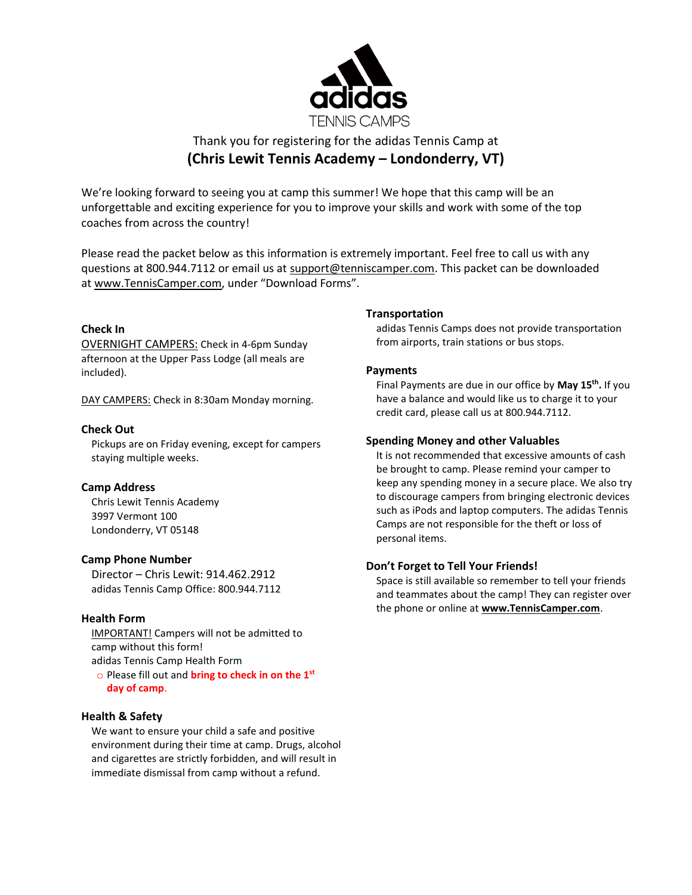

# Thank you for registering for the adidas Tennis Camp at **(Chris Lewit Tennis Academy – Londonderry, VT)**

We're looking forward to seeing you at camp this summer! We hope that this camp will be an unforgettable and exciting experience for you to improve your skills and work with some of the top coaches from across the country!

Please read the packet below as this information is extremely important. Feel free to call us with any questions at 800.944.7112 or email us at [support@tenniscamper.com.](mailto:support@tenniscamper.com) This packet can be downloaded at www.TennisCamper.com, under "Download Forms".

## **Check In**

OVERNIGHT CAMPERS: Check in 4-6pm Sunday afternoon at the Upper Pass Lodge (all meals are included).

DAY CAMPERS: Check in 8:30am Monday morning.

#### **Check Out**

Pickups are on Friday evening, except for campers staying multiple weeks.

#### **Camp Address**

Chris Lewit Tennis Academy 3997 Vermont 100 Londonderry, VT 05148

#### **Camp Phone Number**

Director – Chris Lewit: 914.462.2912 adidas Tennis Camp Office: 800.944.7112

## **Health Form**

IMPORTANT! Campers will not be admitted to camp without this form! adidas Tennis Camp Health Form

o Please fill out and **bring to check in on the 1st day of camp**.

## **Health & Safety**

We want to ensure your child a safe and positive environment during their time at camp. Drugs, alcohol and cigarettes are strictly forbidden, and will result in immediate dismissal from camp without a refund.

## **Transportation**

adidas Tennis Camps does not provide transportation from airports, train stations or bus stops.

#### **Payments**

Final Payments are due in our office by **May 15th .** If you have a balance and would like us to charge it to your credit card, please call us at 800.944.7112.

## **Spending Money and other Valuables**

It is not recommended that excessive amounts of cash be brought to camp. Please remind your camper to keep any spending money in a secure place. We also try to discourage campers from bringing electronic devices such as iPods and laptop computers. The adidas Tennis Camps are not responsible for the theft or loss of personal items.

#### **Don't Forget to Tell Your Friends!**

Space is still available so remember to tell your friends and teammates about the camp! They can register over the phone or online at **www.TennisCamper.com**.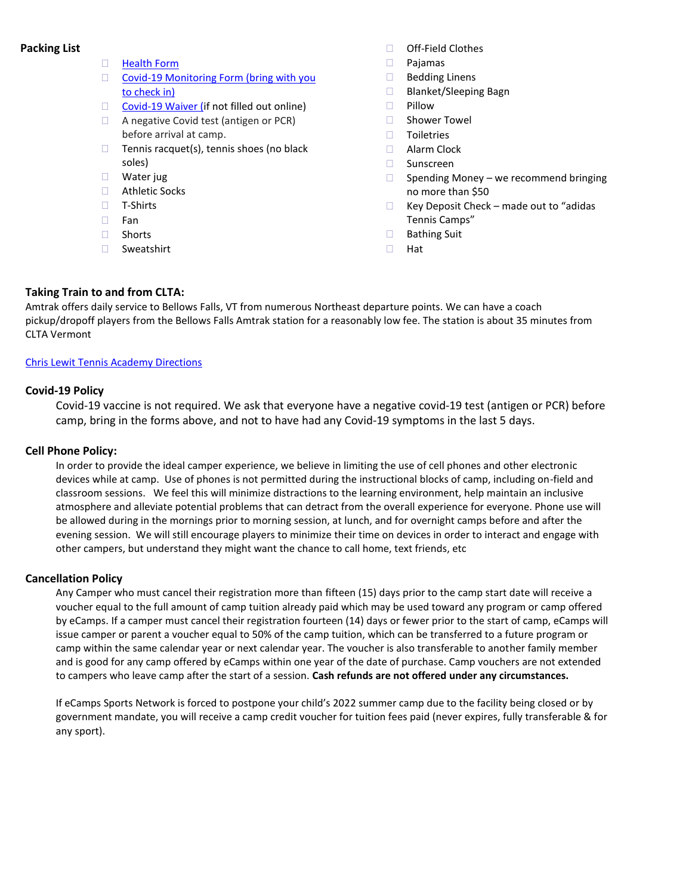## **Packing List**

- **[Health Form](https://tenniscamper.com/wp-content/uploads/TN-adidasTennisCampsHealthForm.pdf)**
- [Covid-19 Monitoring Form](https://tenniscamper.com/wp-content/uploads/Athletic-Monitoring-Form.pdf) (bring with you to check in)
- [Covid-19 Waiver \(if](https://tenniscamper.com/wp-content/uploads/eCampsWaiverOfLiabilityAddendumRelatingToCoronavirus.pdf) not filled out online)
- □ A negative Covid test (antigen or PCR) before arrival at camp.
- $\Box$  Tennis racquet(s), tennis shoes (no black soles)
- Water jug
- □ Athletic Socks
- □ T-Shirts
- $\Box$  Fan
- □ Shorts
- □ Sweatshirt
- □ Off-Field Clothes
- Pajamas
- □ Bedding Linens
- □ Blanket/Sleeping Bagn
- $\Box$  Pillow
- □ Shower Towel
- $\Box$  Toiletries
- □ Alarm Clock
- □ Sunscreen
- $\Box$  Spending Money we recommend bringing no more than \$50
- $\Box$  Key Deposit Check made out to "adidas" Tennis Camps"
- □ Bathing Suit
- Hat

## **Taking Train to and from CLTA:**

Amtrak offers daily service to Bellows Falls, VT from numerous Northeast departure points. We can have a coach pickup/dropoff players from the Bellows Falls Amtrak station for a reasonably low fee. The station is about 35 minutes from CLTA Vermont

#### [Chris Lewit Tennis Academy Directions](https://goo.gl/maps/oEuncw7TftWsMjYq9)

#### **Covid-19 Policy**

Covid-19 vaccine is not required. We ask that everyone have a negative covid-19 test (antigen or PCR) before camp, bring in the forms above, and not to have had any Covid-19 symptoms in the last 5 days.

#### **Cell Phone Policy:**

In order to provide the ideal camper experience, we believe in limiting the use of cell phones and other electronic devices while at camp. Use of phones is not permitted during the instructional blocks of camp, including on-field and classroom sessions. We feel this will minimize distractions to the learning environment, help maintain an inclusive atmosphere and alleviate potential problems that can detract from the overall experience for everyone. Phone use will be allowed during in the mornings prior to morning session, at lunch, and for overnight camps before and after the evening session. We will still encourage players to minimize their time on devices in order to interact and engage with other campers, but understand they might want the chance to call home, text friends, etc

#### **Cancellation Policy**

Any Camper who must cancel their registration more than fifteen (15) days prior to the camp start date will receive a voucher equal to the full amount of camp tuition already paid which may be used toward any program or camp offered by eCamps. If a camper must cancel their registration fourteen (14) days or fewer prior to the start of camp, eCamps will issue camper or parent a voucher equal to 50% of the camp tuition, which can be transferred to a future program or camp within the same calendar year or next calendar year. The voucher is also transferable to another family member and is good for any camp offered by eCamps within one year of the date of purchase. Camp vouchers are not extended to campers who leave camp after the start of a session. **Cash refunds are not offered under any circumstances.**

If eCamps Sports Network is forced to postpone your child's 2022 summer camp due to the facility being closed or by government mandate, you will receive a camp credit voucher for tuition fees paid (never expires, fully transferable & for any sport).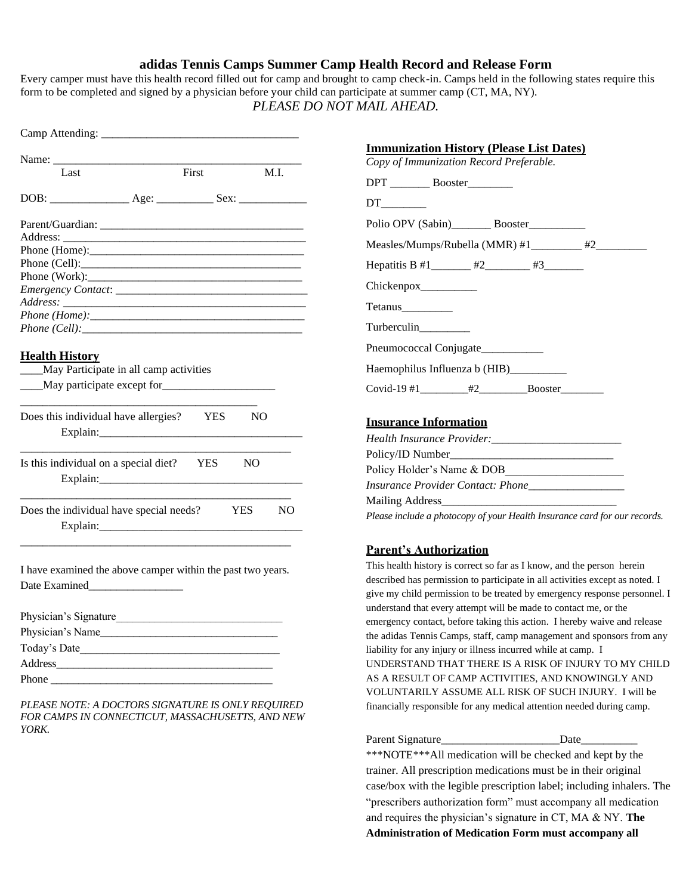### **adidas Tennis Camps Summer Camp Health Record and Release Form**

Every camper must have this health record filled out for camp and brought to camp check-in. Camps held in the following states require this form to be completed and signed by a physician before your child can participate at summer camp (CT, MA, NY). *PLEASE DO NOT MAIL AHEAD.*

| Last                                                            | First |                | M.I. |
|-----------------------------------------------------------------|-------|----------------|------|
|                                                                 |       |                |      |
|                                                                 |       |                |      |
|                                                                 |       |                |      |
|                                                                 |       |                |      |
|                                                                 |       |                |      |
|                                                                 |       |                |      |
|                                                                 |       |                |      |
|                                                                 |       |                |      |
|                                                                 |       |                |      |
| Phone (Cell):                                                   |       |                |      |
| <b>Health History</b><br>May Participate in all camp activities |       |                |      |
| May participate except for                                      |       |                |      |
| Does this individual have allergies? YES                        |       | N <sub>O</sub> |      |
| Is this individual on a special diet? YES<br>Explain:           |       | N <sub>O</sub> |      |
| Does the individual have special needs? YES NO                  |       |                |      |

| Physician's Signature |  |
|-----------------------|--|
| Physician's Name      |  |
| Today's Date          |  |
| Address               |  |
| Phone                 |  |

*PLEASE NOTE: A DOCTORS SIGNATURE IS ONLY REQUIRED FOR CAMPS IN CONNECTICUT, MASSACHUSETTS, AND NEW YORK.*

| <b>Immunization History (Please List Dates)</b><br>Copy of Immunization Record Preferable. |  |
|--------------------------------------------------------------------------------------------|--|
| DPT __________ Booster _________                                                           |  |
|                                                                                            |  |
| Polio OPV (Sabin)__________ Booster____________                                            |  |
| Measles/Mumps/Rubella (MMR) #1_________ #2________                                         |  |
|                                                                                            |  |
| Chickenpox__________                                                                       |  |
| Tetanus                                                                                    |  |
| Turberculin_________                                                                       |  |
| Pneumococcal Conjugate___________                                                          |  |
| Haemophilus Influenza b (HIB) __________                                                   |  |
| Covid-19 $\#1$ $\#2$ Booster                                                               |  |

### **Insurance Information**

| Policy Holder's Name & DOB                                                |  |
|---------------------------------------------------------------------------|--|
| Insurance Provider Contact: Phone________________                         |  |
|                                                                           |  |
| Please include a photocopy of your Health Insurance card for our records. |  |
|                                                                           |  |

#### **Parent's Authorization**

This health history is correct so far as I know, and the person herein described has permission to participate in all activities except as noted. I give my child permission to be treated by emergency response personnel. I understand that every attempt will be made to contact me, or the emergency contact, before taking this action. I hereby waive and release the adidas Tennis Camps, staff, camp management and sponsors from any liability for any injury or illness incurred while at camp. I UNDERSTAND THAT THERE IS A RISK OF INJURY TO MY CHILD AS A RESULT OF CAMP ACTIVITIES, AND KNOWINGLY AND VOLUNTARILY ASSUME ALL RISK OF SUCH INJURY. I will be financially responsible for any medical attention needed during camp.

Parent Signature Date \*\*\*NOTE\*\*\*All medication will be checked and kept by the trainer. All prescription medications must be in their original case/box with the legible prescription label; including inhalers. The "prescribers authorization form" must accompany all medication and requires the physician's signature in CT, MA & NY. **The Administration of Medication Form must accompany all**